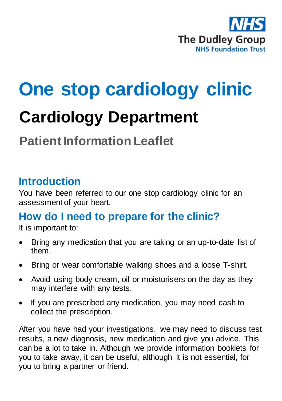

# **One stop cardiology clinic**

## **Cardiology Department**

### **Patient Information Leaflet**

#### **Introduction**

You have been referred to our one stop cardiology clinic for an assessment of your heart.

#### **How do I need to prepare for the clinic?**

It is important to:

- Bring any medication that you are taking or an up-to-date list of them.
- Bring or wear comfortable walking shoes and a loose T-shirt.
- Avoid using body cream, oil or moisturisers on the day as they may interfere with any tests.
- If you are prescribed any medication, you may need cash to collect the prescription.

After you have had your investigations, we may need to discuss test results, a new diagnosis, new medication and give you advice. This can be a lot to take in. Although we provide information booklets for you to take away, it can be useful, although it is not essential, for you to bring a partner or friend.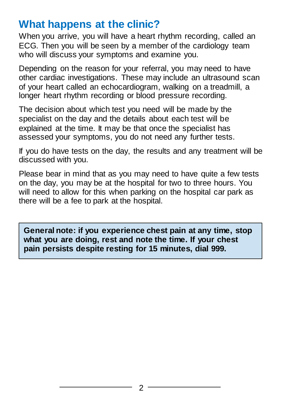#### **What happens at the clinic?**

When you arrive, you will have a heart rhythm recording, called an ECG. Then you will be seen by a member of the cardiology team who will discuss your symptoms and examine you.

Depending on the reason for your referral, you may need to have other cardiac investigations. These may include an ultrasound scan of your heart called an echocardiogram, walking on a treadmill, a longer heart rhythm recording or blood pressure recording.

The decision about which test you need will be made by the specialist on the day and the details about each test will be explained at the time. It may be that once the specialist has assessed your symptoms, you do not need any further tests.

If you do have tests on the day, the results and any treatment will be discussed with you.

Please bear in mind that as you may need to have quite a few tests on the day, you may be at the hospital for two to three hours. You will need to allow for this when parking on the hospital car park as there will be a fee to park at the hospital.

**General note: if you experience chest pain at any time, stop what you are doing, rest and note the time. If your chest pain persists despite resting for 15 minutes, dial 999.**